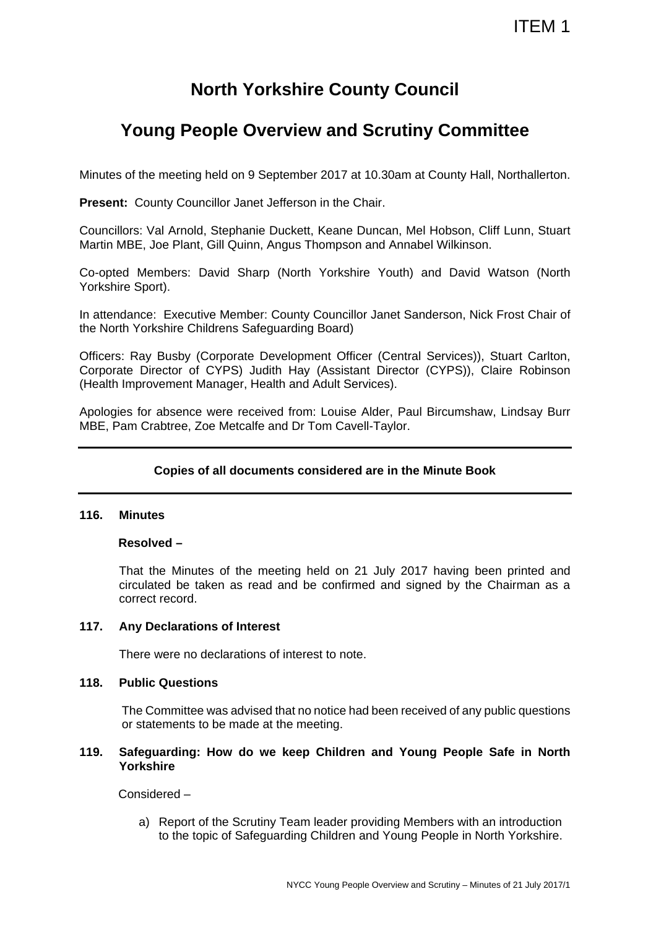# **North Yorkshire County Council**

# **Young People Overview and Scrutiny Committee**

Minutes of the meeting held on 9 September 2017 at 10.30am at County Hall, Northallerton.

**Present:** County Councillor Janet Jefferson in the Chair.

Councillors: Val Arnold, Stephanie Duckett, Keane Duncan, Mel Hobson, Cliff Lunn, Stuart Martin MBE, Joe Plant, Gill Quinn, Angus Thompson and Annabel Wilkinson.

Co-opted Members: David Sharp (North Yorkshire Youth) and David Watson (North Yorkshire Sport).

In attendance: Executive Member: County Councillor Janet Sanderson, Nick Frost Chair of the North Yorkshire Childrens Safeguarding Board)

Officers: Ray Busby (Corporate Development Officer (Central Services)), Stuart Carlton, Corporate Director of CYPS) Judith Hay (Assistant Director (CYPS)), Claire Robinson (Health Improvement Manager, Health and Adult Services).

Apologies for absence were received from: Louise Alder, Paul Bircumshaw, Lindsay Burr MBE, Pam Crabtree, Zoe Metcalfe and Dr Tom Cavell-Taylor.

# **Copies of all documents considered are in the Minute Book**

### **116. Minutes**

### **Resolved –**

That the Minutes of the meeting held on 21 July 2017 having been printed and circulated be taken as read and be confirmed and signed by the Chairman as a correct record.

### **117. Any Declarations of Interest**

There were no declarations of interest to note.

## **118. Public Questions**

The Committee was advised that no notice had been received of any public questions or statements to be made at the meeting.

### **119. Safeguarding: How do we keep Children and Young People Safe in North Yorkshire**

Considered –

a) Report of the Scrutiny Team leader providing Members with an introduction to the topic of Safeguarding Children and Young People in North Yorkshire.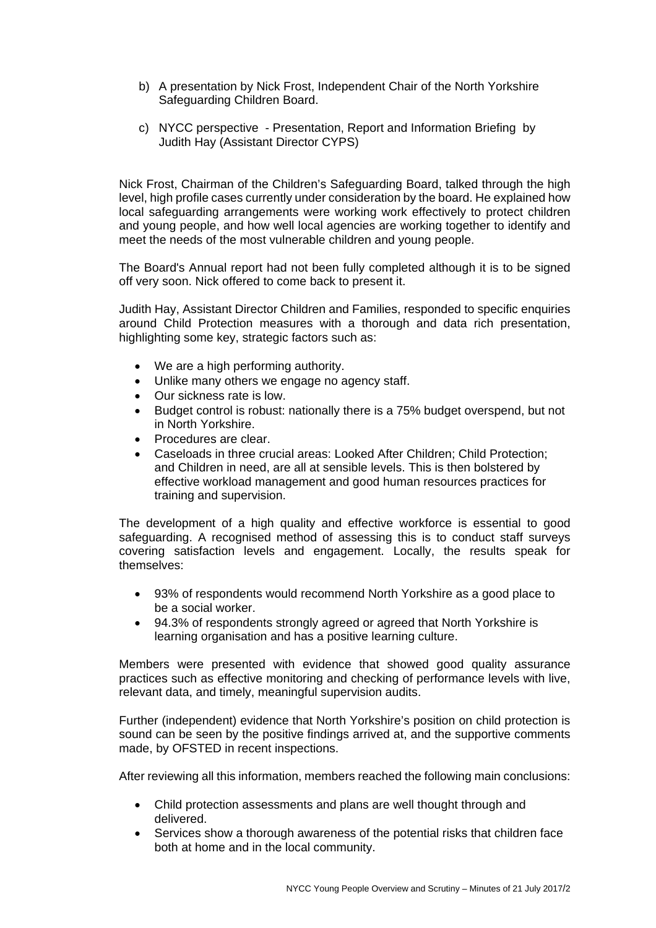- b) A presentation by Nick Frost, Independent Chair of the North Yorkshire Safeguarding Children Board.
- c) NYCC perspective Presentation, Report and Information Briefing by Judith Hay (Assistant Director CYPS)

Nick Frost, Chairman of the Children's Safeguarding Board, talked through the high level, high profile cases currently under consideration by the board. He explained how local safeguarding arrangements were working work effectively to protect children and young people, and how well local agencies are working together to identify and meet the needs of the most vulnerable children and young people.

The Board's Annual report had not been fully completed although it is to be signed off very soon. Nick offered to come back to present it.

Judith Hay, Assistant Director Children and Families, responded to specific enquiries around Child Protection measures with a thorough and data rich presentation, highlighting some key, strategic factors such as:

- We are a high performing authority.
- Unlike many others we engage no agency staff.
- Our sickness rate is low.
- Budget control is robust: nationally there is a 75% budget overspend, but not in North Yorkshire.
- Procedures are clear.
- Caseloads in three crucial areas: Looked After Children; Child Protection; and Children in need, are all at sensible levels. This is then bolstered by effective workload management and good human resources practices for training and supervision.

The development of a high quality and effective workforce is essential to good safeguarding. A recognised method of assessing this is to conduct staff surveys covering satisfaction levels and engagement. Locally, the results speak for themselves:

- 93% of respondents would recommend North Yorkshire as a good place to be a social worker.
- 94.3% of respondents strongly agreed or agreed that North Yorkshire is learning organisation and has a positive learning culture.

Members were presented with evidence that showed good quality assurance practices such as effective monitoring and checking of performance levels with live, relevant data, and timely, meaningful supervision audits.

Further (independent) evidence that North Yorkshire's position on child protection is sound can be seen by the positive findings arrived at, and the supportive comments made, by OFSTED in recent inspections.

After reviewing all this information, members reached the following main conclusions:

- Child protection assessments and plans are well thought through and delivered.
- Services show a thorough awareness of the potential risks that children face both at home and in the local community.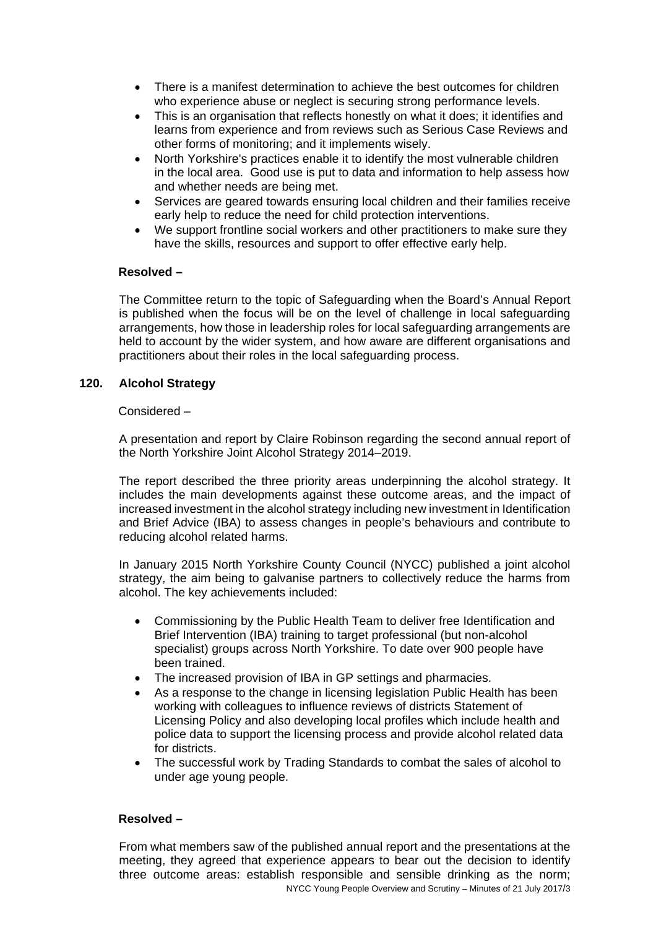- There is a manifest determination to achieve the best outcomes for children who experience abuse or neglect is securing strong performance levels.
- This is an organisation that reflects honestly on what it does; it identifies and learns from experience and from reviews such as Serious Case Reviews and other forms of monitoring; and it implements wisely.
- North Yorkshire's practices enable it to identify the most vulnerable children in the local area. Good use is put to data and information to help assess how and whether needs are being met.
- Services are geared towards ensuring local children and their families receive early help to reduce the need for child protection interventions.
- We support frontline social workers and other practitioners to make sure they have the skills, resources and support to offer effective early help.

# **Resolved –**

The Committee return to the topic of Safeguarding when the Board's Annual Report is published when the focus will be on the level of challenge in local safeguarding arrangements, how those in leadership roles for local safeguarding arrangements are held to account by the wider system, and how aware are different organisations and practitioners about their roles in the local safeguarding process.

## **120. Alcohol Strategy**

## Considered –

A presentation and report by Claire Robinson regarding the second annual report of the North Yorkshire Joint Alcohol Strategy 2014–2019.

The report described the three priority areas underpinning the alcohol strategy. It includes the main developments against these outcome areas, and the impact of increased investment in the alcohol strategy including new investment in Identification and Brief Advice (IBA) to assess changes in people's behaviours and contribute to reducing alcohol related harms.

In January 2015 North Yorkshire County Council (NYCC) published a joint alcohol strategy, the aim being to galvanise partners to collectively reduce the harms from alcohol. The key achievements included:

- Commissioning by the Public Health Team to deliver free Identification and Brief Intervention (IBA) training to target professional (but non-alcohol specialist) groups across North Yorkshire. To date over 900 people have been trained.
- The increased provision of IBA in GP settings and pharmacies.
- As a response to the change in licensing legislation Public Health has been working with colleagues to influence reviews of districts Statement of Licensing Policy and also developing local profiles which include health and police data to support the licensing process and provide alcohol related data for districts.
- The successful work by Trading Standards to combat the sales of alcohol to under age young people.

# **Resolved –**

NYCC Young People Overview and Scrutiny – Minutes of 21 July 2017/3 From what members saw of the published annual report and the presentations at the meeting, they agreed that experience appears to bear out the decision to identify three outcome areas: establish responsible and sensible drinking as the norm;